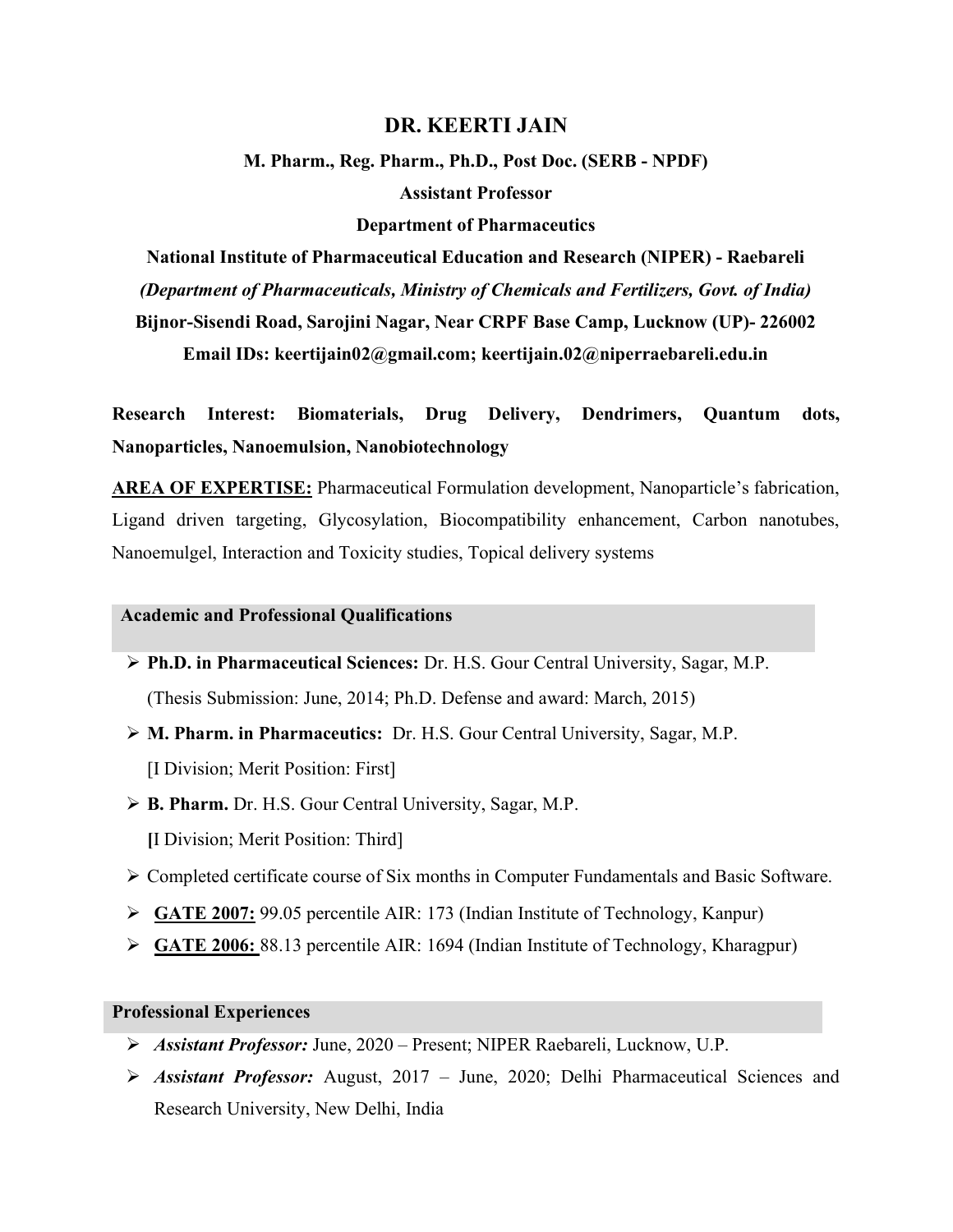## DR. KEERTI JAIN

M. Pharm., Reg. Pharm., Ph.D., Post Doc. (SERB - NPDF) Assistant Professor

#### Department of Pharmaceutics

National Institute of Pharmaceutical Education and Research (NIPER) - Raebareli (Department of Pharmaceuticals, Ministry of Chemicals and Fertilizers, Govt. of India)

Bijnor-Sisendi Road, Sarojini Nagar, Near CRPF Base Camp, Lucknow (UP)- 226002

Email IDs: keertijain02@gmail.com; keertijain.02@niperraebareli.edu.in

Research Interest: Biomaterials, Drug Delivery, Dendrimers, Quantum dots, Nanoparticles, Nanoemulsion, Nanobiotechnology

AREA OF EXPERTISE: Pharmaceutical Formulation development, Nanoparticle's fabrication, Ligand driven targeting, Glycosylation, Biocompatibility enhancement, Carbon nanotubes, Nanoemulgel, Interaction and Toxicity studies, Topical delivery systems

#### Academic and Professional Qualifications

- Ph.D. in Pharmaceutical Sciences: Dr. H.S. Gour Central University, Sagar, M.P. (Thesis Submission: June, 2014; Ph.D. Defense and award: March, 2015)
- M. Pharm. in Pharmaceutics: Dr. H.S. Gour Central University, Sagar, M.P. [I Division; Merit Position: First]
- ▶ **B. Pharm.** Dr. H.S. Gour Central University, Sagar, M.P. [I Division; Merit Position: Third]
- Completed certificate course of Six months in Computer Fundamentals and Basic Software.
- $\triangleright$  GATE 2007: 99.05 percentile AIR: 173 (Indian Institute of Technology, Kanpur)
- $\triangleright$  GATE 2006: 88.13 percentile AIR: 1694 (Indian Institute of Technology, Kharagpur)

# Professional Experiences

- Assistant Professor: June, 2020 Present; NIPER Raebareli, Lucknow, U.P.
- $\triangleright$  Assistant Professor: August, 2017 June, 2020; Delhi Pharmaceutical Sciences and Research University, New Delhi, India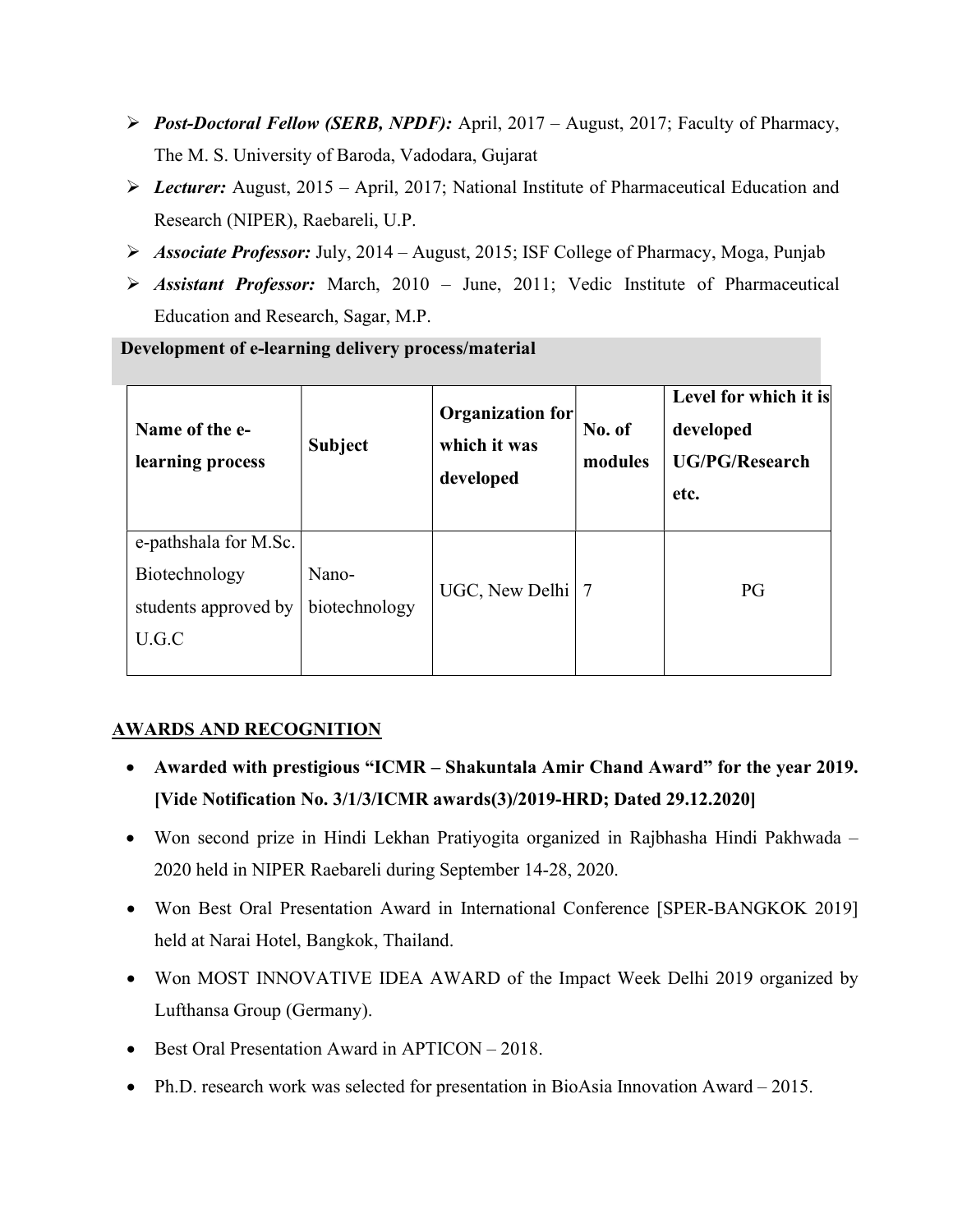- Post-Doctoral Fellow (SERB, NPDF): April, 2017 August, 2017; Faculty of Pharmacy, The M. S. University of Baroda, Vadodara, Gujarat
- $\triangleright$  Lecturer: August, 2015 April, 2017; National Institute of Pharmaceutical Education and Research (NIPER), Raebareli, U.P.
- $\triangleright$  Associate Professor: July, 2014 August, 2015; ISF College of Pharmacy, Moga, Punjab
- $\triangleright$  Assistant Professor: March, 2010 June, 2011; Vedic Institute of Pharmaceutical Education and Research, Sagar, M.P.

Development of e-learning delivery process/material

| Name of the e-<br>learning process                                      | <b>Subject</b>         | Organization for<br>which it was<br>developed | No. of<br>modules | Level for which it is<br>developed<br><b>UG/PG/Research</b><br>etc. |
|-------------------------------------------------------------------------|------------------------|-----------------------------------------------|-------------------|---------------------------------------------------------------------|
| e-pathshala for M.Sc.<br>Biotechnology<br>students approved by<br>U.G.C | Nano-<br>biotechnology | UGC, New Delhi   7                            |                   | PG                                                                  |

# AWARDS AND RECOGNITION

- Awarded with prestigious "ICMR Shakuntala Amir Chand Award" for the year 2019. [Vide Notification No. 3/1/3/ICMR awards(3)/2019-HRD; Dated 29.12.2020]
- Won second prize in Hindi Lekhan Pratiyogita organized in Rajbhasha Hindi Pakhwada 2020 held in NIPER Raebareli during September 14-28, 2020.
- Won Best Oral Presentation Award in International Conference [SPER-BANGKOK 2019] held at Narai Hotel, Bangkok, Thailand.
- Won MOST INNOVATIVE IDEA AWARD of the Impact Week Delhi 2019 organized by Lufthansa Group (Germany).
- Best Oral Presentation Award in APTICON 2018.
- Ph.D. research work was selected for presentation in BioAsia Innovation Award 2015.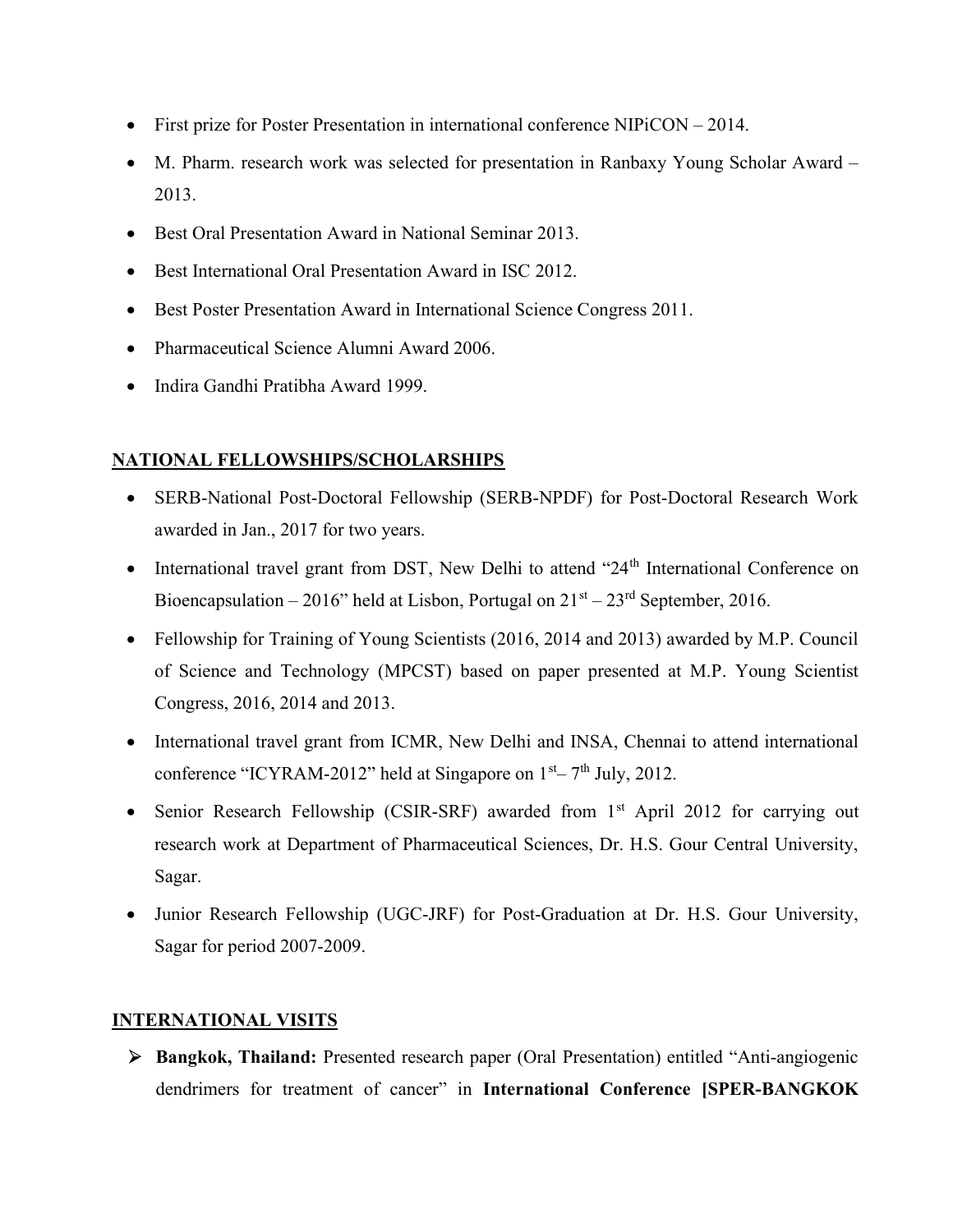- First prize for Poster Presentation in international conference NIPiCON 2014.
- M. Pharm. research work was selected for presentation in Ranbaxy Young Scholar Award 2013.
- Best Oral Presentation Award in National Seminar 2013.
- Best International Oral Presentation Award in ISC 2012.
- Best Poster Presentation Award in International Science Congress 2011.
- Pharmaceutical Science Alumni Award 2006.
- Indira Gandhi Pratibha Award 1999.

# NATIONAL FELLOWSHIPS/SCHOLARSHIPS

- SERB-National Post-Doctoral Fellowship (SERB-NPDF) for Post-Doctoral Research Work awarded in Jan., 2017 for two years.
- International travel grant from DST, New Delhi to attend "24<sup>th</sup> International Conference on Bioencapsulation – 2016" held at Lisbon, Portugal on  $21<sup>st</sup> - 23<sup>rd</sup>$  September, 2016.
- Fellowship for Training of Young Scientists (2016, 2014 and 2013) awarded by M.P. Council of Science and Technology (MPCST) based on paper presented at M.P. Young Scientist Congress, 2016, 2014 and 2013.
- International travel grant from ICMR, New Delhi and INSA, Chennai to attend international conference "ICYRAM-2012" held at Singapore on  $1<sup>st</sup> - 7<sup>th</sup>$  July, 2012.
- Senior Research Fellowship (CSIR-SRF) awarded from 1<sup>st</sup> April 2012 for carrying out research work at Department of Pharmaceutical Sciences, Dr. H.S. Gour Central University, Sagar.
- Junior Research Fellowship (UGC-JRF) for Post-Graduation at Dr. H.S. Gour University, Sagar for period 2007-2009.

# INTERNATIONAL VISITS

 Bangkok, Thailand: Presented research paper (Oral Presentation) entitled "Anti-angiogenic dendrimers for treatment of cancer" in International Conference [SPER-BANGKOK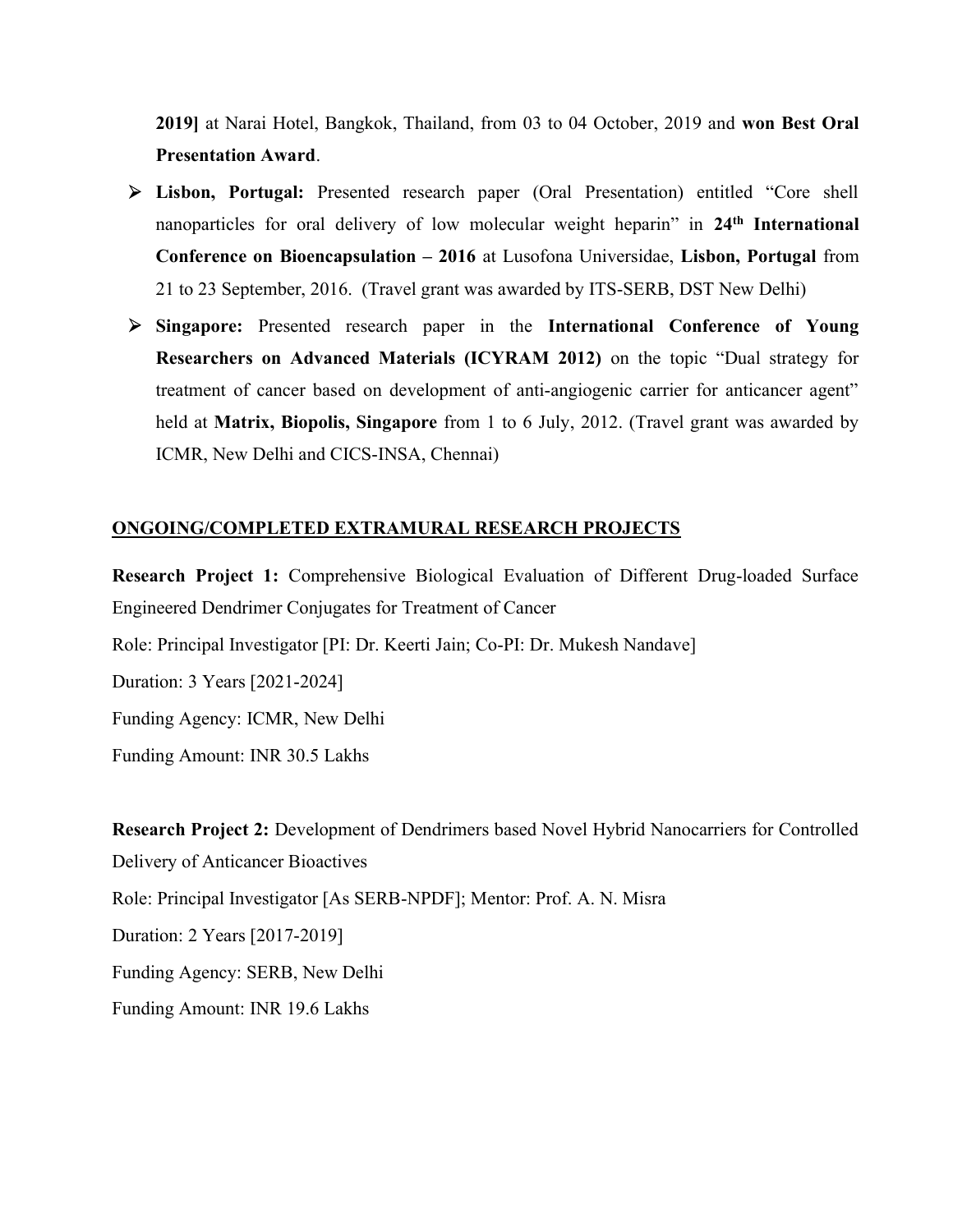2019] at Narai Hotel, Bangkok, Thailand, from 03 to 04 October, 2019 and won Best Oral Presentation Award.

- Lisbon, Portugal: Presented research paper (Oral Presentation) entitled "Core shell nanoparticles for oral delivery of low molecular weight heparin" in 24<sup>th</sup> International Conference on Bioencapsulation – 2016 at Lusofona Universidae, Lisbon, Portugal from 21 to 23 September, 2016. (Travel grant was awarded by ITS-SERB, DST New Delhi)
- Singapore: Presented research paper in the International Conference of Young Researchers on Advanced Materials (ICYRAM 2012) on the topic "Dual strategy for treatment of cancer based on development of anti-angiogenic carrier for anticancer agent" held at Matrix, Biopolis, Singapore from 1 to 6 July, 2012. (Travel grant was awarded by ICMR, New Delhi and CICS-INSA, Chennai)

# ONGOING/COMPLETED EXTRAMURAL RESEARCH PROJECTS

Funding Amount: INR 30.5 Lakhs

Research Project 1: Comprehensive Biological Evaluation of Different Drug-loaded Surface Engineered Dendrimer Conjugates for Treatment of Cancer Role: Principal Investigator [PI: Dr. Keerti Jain; Co-PI: Dr. Mukesh Nandave] Duration: 3 Years [2021-2024] Funding Agency: ICMR, New Delhi

Research Project 2: Development of Dendrimers based Novel Hybrid Nanocarriers for Controlled Delivery of Anticancer Bioactives Role: Principal Investigator [As SERB-NPDF]; Mentor: Prof. A. N. Misra Duration: 2 Years [2017-2019] Funding Agency: SERB, New Delhi Funding Amount: INR 19.6 Lakhs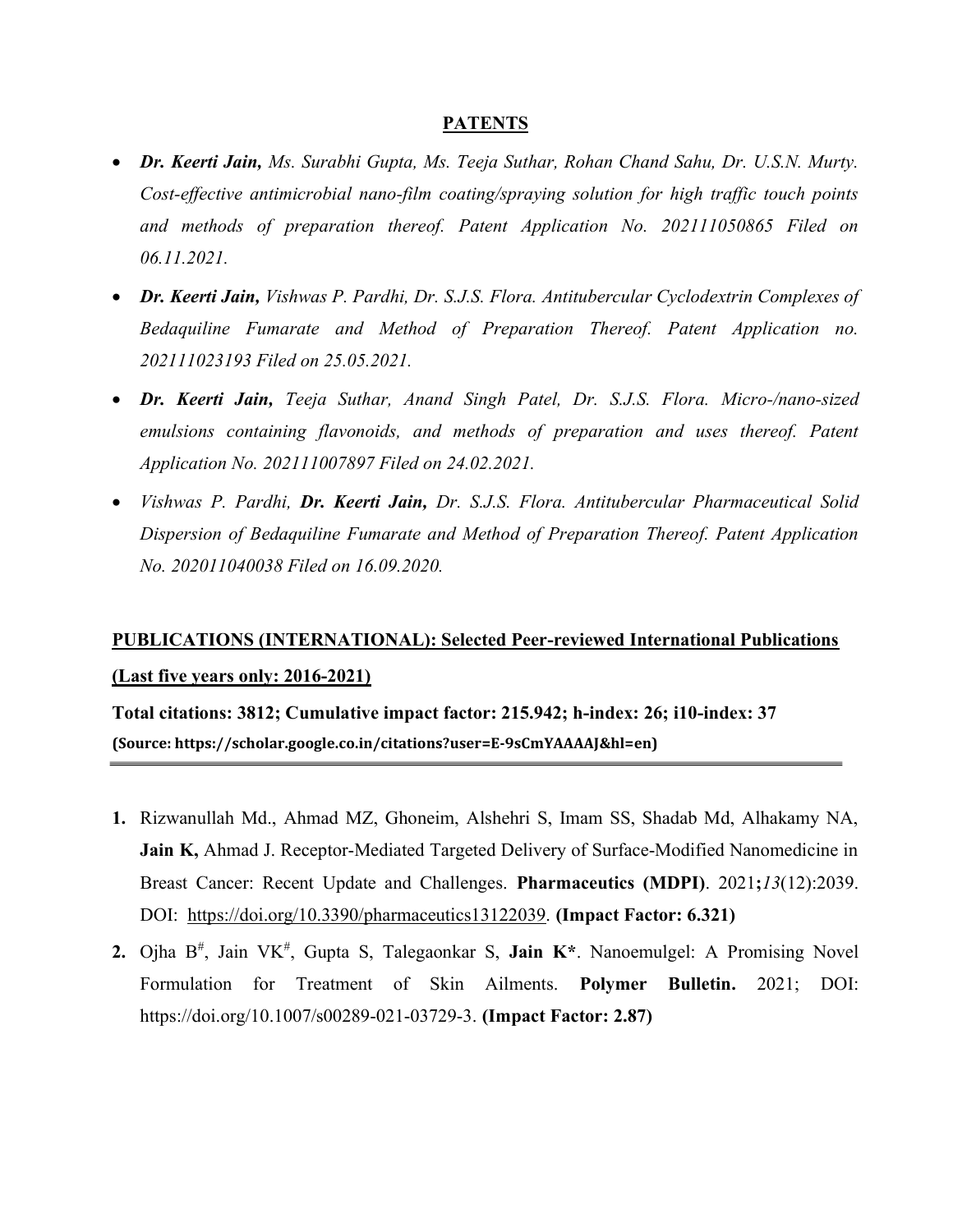#### **PATENTS**

- Dr. Keerti Jain, Ms. Surabhi Gupta, Ms. Teeja Suthar, Rohan Chand Sahu, Dr. U.S.N. Murty. Cost-effective antimicrobial nano-film coating/spraying solution for high traffic touch points and methods of preparation thereof. Patent Application No. 202111050865 Filed on 06.11.2021.
- Dr. Keerti Jain, Vishwas P. Pardhi, Dr. S.J.S. Flora. Antitubercular Cyclodextrin Complexes of Bedaquiline Fumarate and Method of Preparation Thereof. Patent Application no. 202111023193 Filed on 25.05.2021.
- Dr. Keerti Jain, Teeja Suthar, Anand Singh Patel, Dr. S.J.S. Flora. Micro-/nano-sized emulsions containing flavonoids, and methods of preparation and uses thereof. Patent Application No. 202111007897 Filed on 24.02.2021.
- Vishwas P. Pardhi, Dr. Keerti Jain, Dr. S.J.S. Flora. Antitubercular Pharmaceutical Solid Dispersion of Bedaquiline Fumarate and Method of Preparation Thereof. Patent Application No. 202011040038 Filed on 16.09.2020.

# PUBLICATIONS (INTERNATIONAL): Selected Peer-reviewed International Publications (Last five years only: 2016-2021)

Total citations: 3812; Cumulative impact factor: 215.942; h-index: 26; i10-index: 37 (Source: https://scholar.google.co.in/citations?user=E-9sCmYAAAAJ&hl=en)

- 1. Rizwanullah Md., Ahmad MZ, Ghoneim, Alshehri S, Imam SS, Shadab Md, Alhakamy NA, Jain K, Ahmad J. Receptor-Mediated Targeted Delivery of Surface-Modified Nanomedicine in Breast Cancer: Recent Update and Challenges. Pharmaceutics (MDPI). 2021;13(12):2039. DOI: https://doi.org/10.3390/pharmaceutics13122039. (Impact Factor: 6.321)
- 2. Ojha  $B^{\#}$ , Jain VK $^{\#}$ , Gupta S, Talegaonkar S, Jain K $*$ . Nanoemulgel: A Promising Novel Formulation for Treatment of Skin Ailments. Polymer Bulletin. 2021; DOI: https://doi.org/10.1007/s00289-021-03729-3. (Impact Factor: 2.87)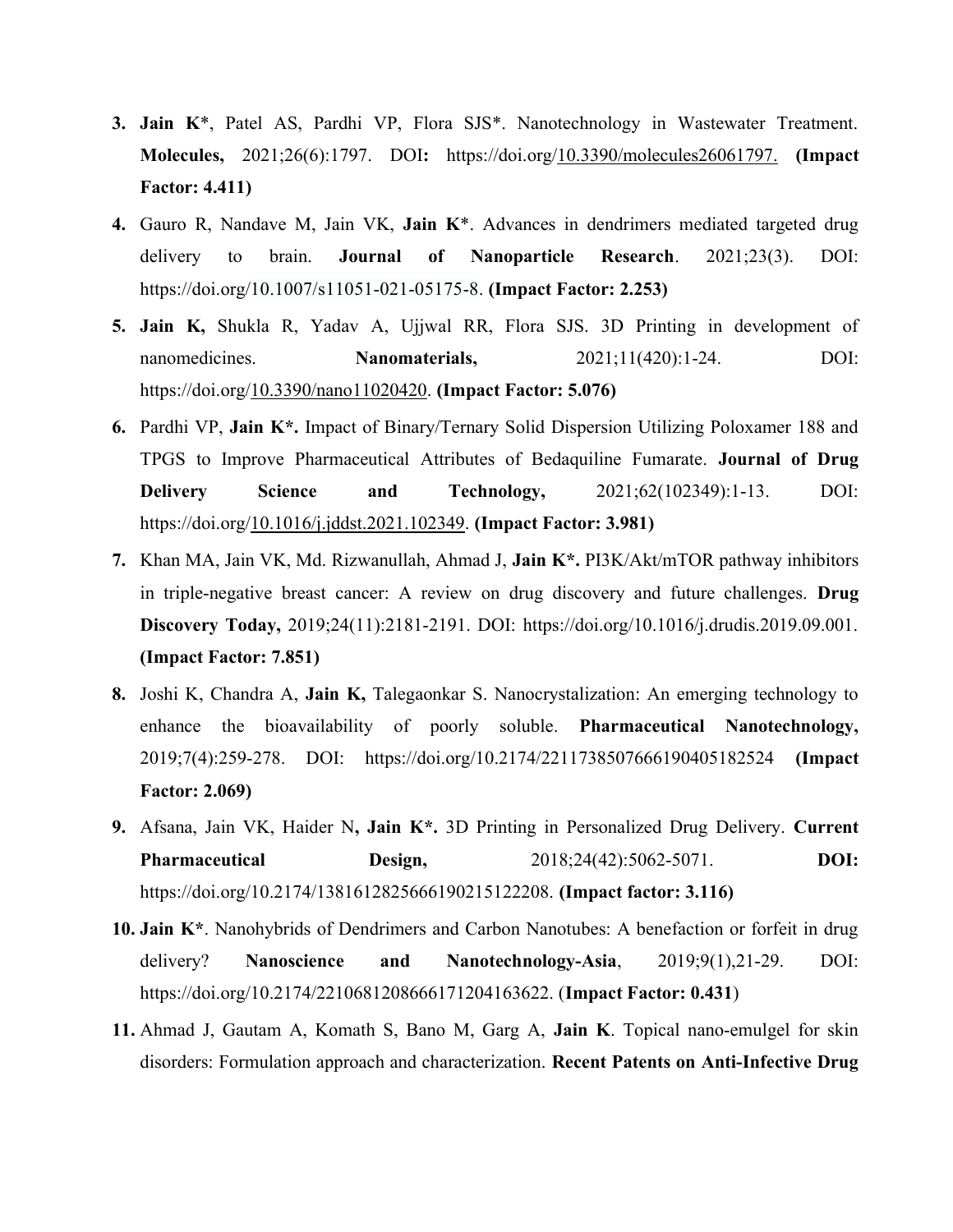- **3. Jain**  $K^*$ , Patel AS, Pardhi VP, Flora SJS $^*$ . Nanotechnology in Wastewater Treatment. Molecules, 2021;26(6):1797. DOI: https://doi.org/10.3390/molecules26061797. (Impact Factor: 4.411)
- 4. Gauro R, Nandave M, Jain VK, Jain K<sup>\*</sup>. Advances in dendrimers mediated targeted drug delivery to brain. **Journal of Nanoparticle Research**. 2021;23(3). DOI: https://doi.org/10.1007/s11051-021-05175-8. (Impact Factor: 2.253)
- 5. Jain K, Shukla R, Yadav A, Ujjwal RR, Flora SJS. 3D Printing in development of nanomedicines. **Nanomaterials,** 2021;11(420):1-24. DOI: https://doi.org/10.3390/nano11020420. (Impact Factor: 5.076)
- 6. Pardhi VP, Jain K\*. Impact of Binary/Ternary Solid Dispersion Utilizing Poloxamer 188 and TPGS to Improve Pharmaceutical Attributes of Bedaquiline Fumarate. Journal of Drug Delivery Science and Technology,  $2021;62(102349):1-13.$  DOI: https://doi.org/<u>10.1016/j.jddst.2021.102349</u>. (Impact Factor: 3.981)
- 7. Khan MA, Jain VK, Md. Rizwanullah, Ahmad J, Jain K\*. PI3K/Akt/mTOR pathway inhibitors in triple-negative breast cancer: A review on drug discovery and future challenges. Drug Discovery Today, 2019;24(11):2181-2191. DOI: https://doi.org/10.1016/j.drudis.2019.09.001. (Impact Factor: 7.851)
- 8. Joshi K, Chandra A, Jain K, Talegaonkar S. Nanocrystalization: An emerging technology to enhance the bioavailability of poorly soluble. Pharmaceutical Nanotechnology, 2019;7(4):259-278. DOI: https://doi.org/10.2174/2211738507666190405182524 (Impact Factor: 2.069)
- 9. Afsana, Jain VK, Haider N, Jain K\*. 3D Printing in Personalized Drug Delivery. Current Pharmaceutical Design, 2018;24(42):5062-5071. DOI: https://doi.org/10.2174/1381612825666190215122208. (Impact factor: 3.116)
- 10. Jain K\*. Nanohybrids of Dendrimers and Carbon Nanotubes: A benefaction or forfeit in drug delivery? Nanoscience and Nanotechnology-Asia, 2019;9(1),21-29. DOI: https://doi.org/10.2174/2210681208666171204163622. (Impact Factor: 0.431)
- 11. Ahmad J, Gautam A, Komath S, Bano M, Garg A, Jain K. Topical nano-emulgel for skin disorders: Formulation approach and characterization. Recent Patents on Anti-Infective Drug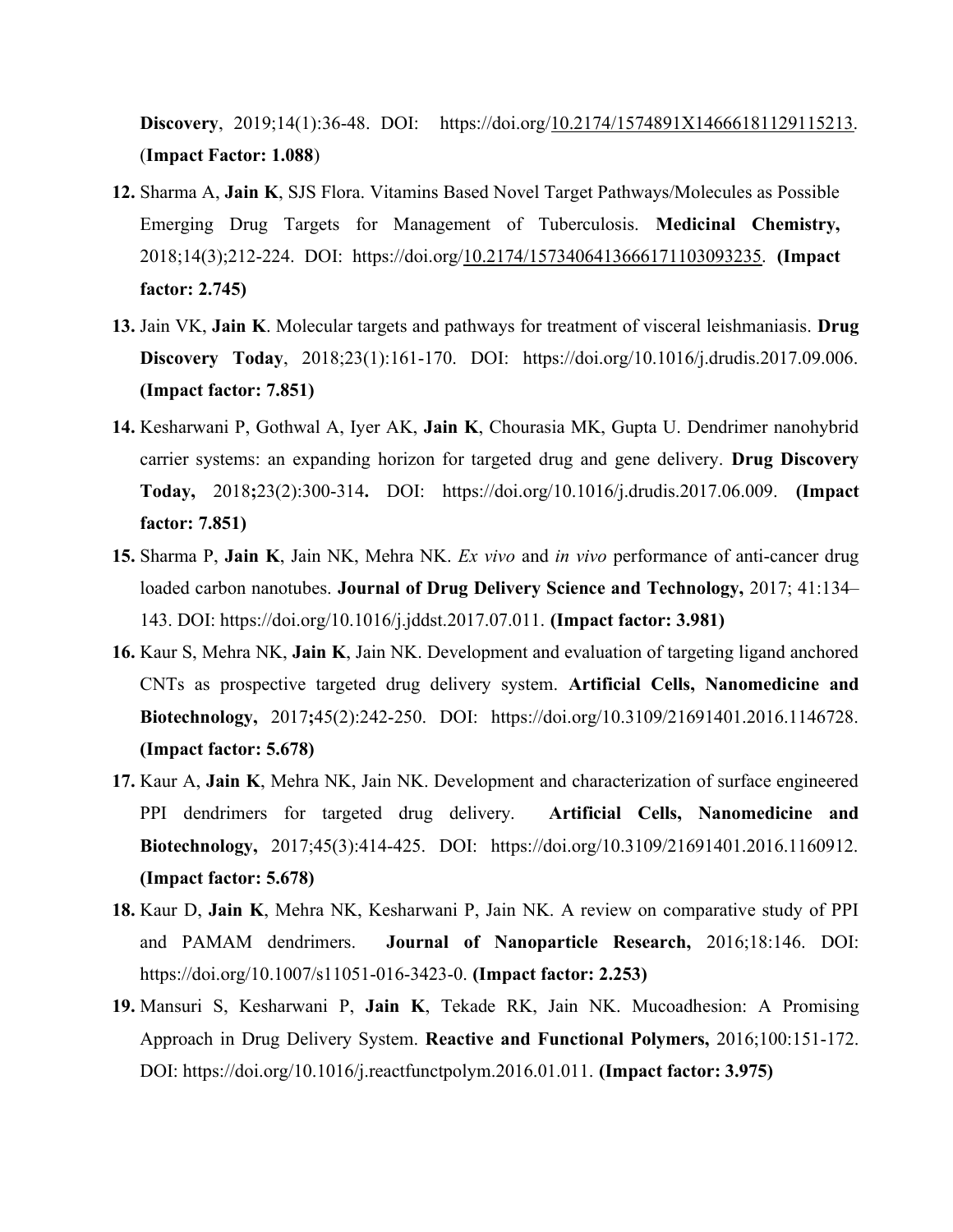Discovery, 2019;14(1):36-48. DOI: https://doi.org/10.2174/1574891X14666181129115213. (Impact Factor: 1.088)

- 12. Sharma A, Jain K, SJS Flora. Vitamins Based Novel Target Pathways/Molecules as Possible Emerging Drug Targets for Management of Tuberculosis. Medicinal Chemistry, 2018;14(3);212-224. DOI: https://doi.org/10.2174/1573406413666171103093235. (Impact factor: 2.745)
- 13. Jain VK, Jain K. Molecular targets and pathways for treatment of visceral leishmaniasis. Drug Discovery Today, 2018;23(1):161-170. DOI: https://doi.org/10.1016/j.drudis.2017.09.006. (Impact factor: 7.851)
- 14. Kesharwani P, Gothwal A, Iyer AK, Jain K, Chourasia MK, Gupta U. Dendrimer nanohybrid carrier systems: an expanding horizon for targeted drug and gene delivery. Drug Discovery Today, 2018;23(2):300-314. DOI: https://doi.org/10.1016/j.drudis.2017.06.009. (Impact factor: 7.851)
- 15. Sharma P, Jain K, Jain NK, Mehra NK. Ex vivo and in vivo performance of anti-cancer drug loaded carbon nanotubes. Journal of Drug Delivery Science and Technology, 2017; 41:134– 143. DOI: https://doi.org/10.1016/j.jddst.2017.07.011. (Impact factor: 3.981)
- 16. Kaur S, Mehra NK, Jain K, Jain NK. Development and evaluation of targeting ligand anchored CNTs as prospective targeted drug delivery system. Artificial Cells, Nanomedicine and Biotechnology, 2017;45(2):242-250. DOI: https://doi.org/10.3109/21691401.2016.1146728. (Impact factor: 5.678)
- 17. Kaur A, Jain K, Mehra NK, Jain NK. Development and characterization of surface engineered PPI dendrimers for targeted drug delivery. Artificial Cells, Nanomedicine and Biotechnology, 2017;45(3):414-425. DOI: https://doi.org/10.3109/21691401.2016.1160912. (Impact factor: 5.678)
- 18. Kaur D, Jain K, Mehra NK, Kesharwani P, Jain NK. A review on comparative study of PPI and PAMAM dendrimers. Journal of Nanoparticle Research, 2016;18:146. DOI: https://doi.org/10.1007/s11051-016-3423-0. (Impact factor: 2.253)
- 19. Mansuri S, Kesharwani P, Jain K, Tekade RK, Jain NK. Mucoadhesion: A Promising Approach in Drug Delivery System. Reactive and Functional Polymers, 2016;100:151-172. DOI: https://doi.org/10.1016/j.reactfunctpolym.2016.01.011. (Impact factor: 3.975)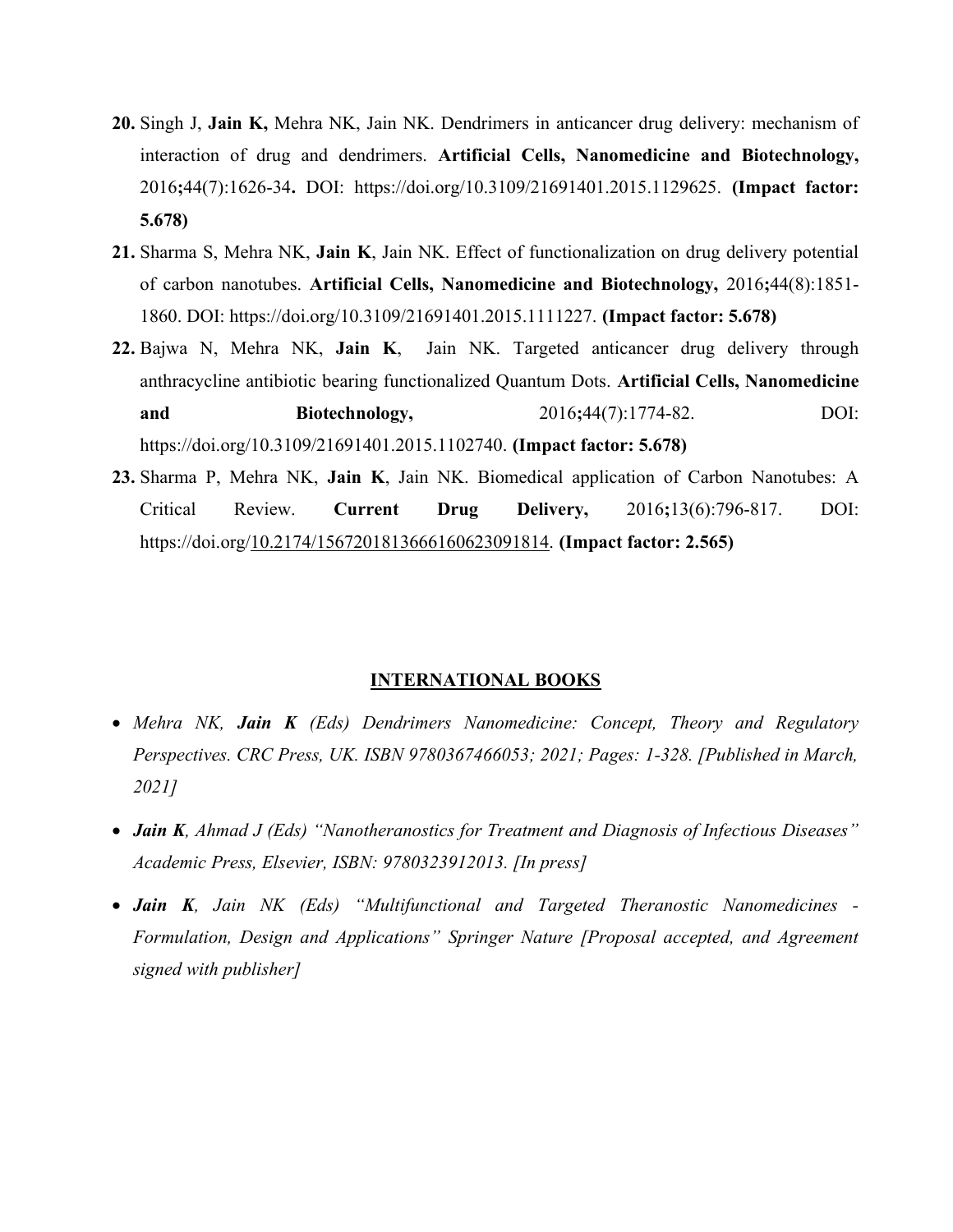- 20. Singh J, Jain K, Mehra NK, Jain NK. Dendrimers in anticancer drug delivery: mechanism of interaction of drug and dendrimers. Artificial Cells, Nanomedicine and Biotechnology, 2016;44(7):1626-34. DOI: https://doi.org/10.3109/21691401.2015.1129625. (Impact factor: 5.678)
- 21. Sharma S, Mehra NK, Jain K, Jain NK. Effect of functionalization on drug delivery potential of carbon nanotubes. Artificial Cells, Nanomedicine and Biotechnology, 2016;44(8):1851- 1860. DOI: https://doi.org/10.3109/21691401.2015.1111227. (Impact factor: 5.678)
- 22. Bajwa N, Mehra NK, Jain K, Jain NK. Targeted anticancer drug delivery through anthracycline antibiotic bearing functionalized Quantum Dots. Artificial Cells, Nanomedicine and Biotechnology, 2016;44(7):1774-82. DOI: https://doi.org/10.3109/21691401.2015.1102740. (Impact factor: 5.678)
- 23. Sharma P, Mehra NK, Jain K, Jain NK. Biomedical application of Carbon Nanotubes: A Critical Review. Current Drug Delivery, 2016;13(6):796-817. DOI: https://doi.org/10.2174/1567201813666160623091814. (Impact factor: 2.565)

#### INTERNATIONAL BOOKS

- Mehra NK, Jain K (Eds) Dendrimers Nanomedicine: Concept, Theory and Regulatory Perspectives. CRC Press, UK. ISBN 9780367466053; 2021; Pages: 1-328. [Published in March, 2021]
- Jain K, Ahmad J (Eds) "Nanotheranostics for Treatment and Diagnosis of Infectious Diseases" Academic Press, Elsevier, ISBN: 9780323912013. [In press]
- Jain K, Jain NK (Eds) "Multifunctional and Targeted Theranostic Nanomedicines -Formulation, Design and Applications" Springer Nature [Proposal accepted, and Agreement signed with publisher]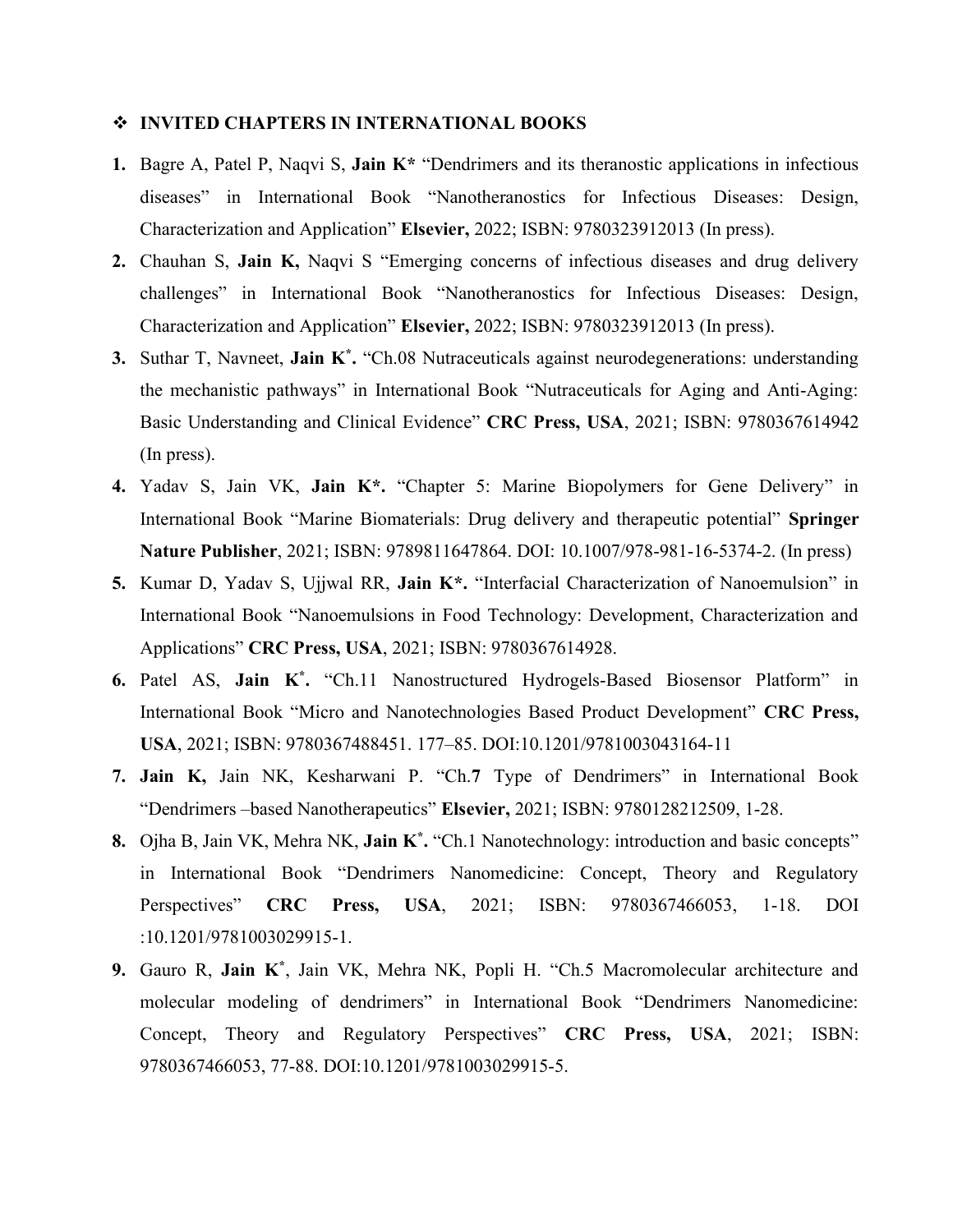#### INVITED CHAPTERS IN INTERNATIONAL BOOKS

- 1. Bagre A, Patel P, Naqvi S, Jain K\* "Dendrimers and its theranostic applications in infectious diseases" in International Book "Nanotheranostics for Infectious Diseases: Design, Characterization and Application" Elsevier, 2022; ISBN: 9780323912013 (In press).
- 2. Chauhan S, Jain K, Naqvi S "Emerging concerns of infectious diseases and drug delivery challenges" in International Book "Nanotheranostics for Infectious Diseases: Design, Characterization and Application" Elsevier, 2022; ISBN: 9780323912013 (In press).
- 3. Suthar T, Navneet, Jain K\*. "Ch.08 Nutraceuticals against neurodegenerations: understanding the mechanistic pathways" in International Book "Nutraceuticals for Aging and Anti-Aging: Basic Understanding and Clinical Evidence" CRC Press, USA, 2021; ISBN: 9780367614942 (In press).
- 4. Yadav S, Jain VK, Jain K\*. "Chapter 5: Marine Biopolymers for Gene Delivery" in International Book "Marine Biomaterials: Drug delivery and therapeutic potential" Springer Nature Publisher, 2021; ISBN: 9789811647864. DOI: 10.1007/978-981-16-5374-2. (In press)
- 5. Kumar D, Yadav S, Ujjwal RR, Jain K\*. "Interfacial Characterization of Nanoemulsion" in International Book "Nanoemulsions in Food Technology: Development, Characterization and Applications" CRC Press, USA, 2021; ISBN: 9780367614928.
- 6. Patel AS, Jain K\* . "Ch.11 Nanostructured Hydrogels-Based Biosensor Platform" in International Book "Micro and Nanotechnologies Based Product Development" CRC Press, USA, 2021; ISBN: 9780367488451. 177–85. DOI:10.1201/9781003043164-11
- 7. Jain K, Jain NK, Kesharwani P. "Ch.7 Type of Dendrimers" in International Book "Dendrimers –based Nanotherapeutics" Elsevier, 2021; ISBN: 9780128212509, 1-28.
- 8. Ojha B, Jain VK, Mehra NK, Jain K<sup>\*</sup>. "Ch.1 Nanotechnology: introduction and basic concepts" in International Book "Dendrimers Nanomedicine: Concept, Theory and Regulatory Perspectives" CRC Press, USA, 2021; ISBN: 9780367466053, 1-18. DOI :10.1201/9781003029915-1.
- 9. Gauro R, Jain K<sup>\*</sup>, Jain VK, Mehra NK, Popli H. "Ch.5 Macromolecular architecture and molecular modeling of dendrimers" in International Book "Dendrimers Nanomedicine: Concept, Theory and Regulatory Perspectives" CRC Press, USA, 2021; ISBN: 9780367466053, 77-88. DOI:10.1201/9781003029915-5.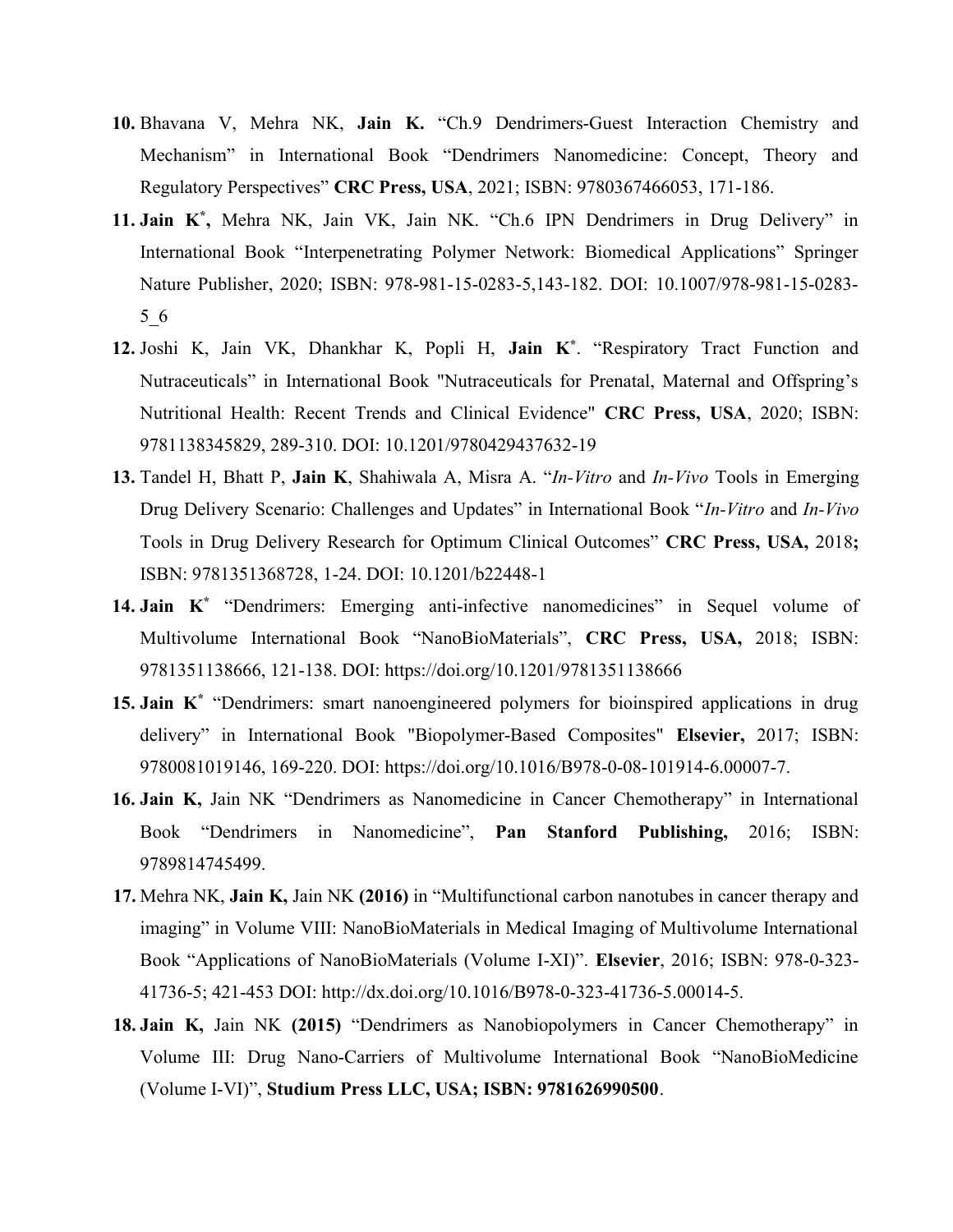- 10. Bhavana V, Mehra NK, Jain K. "Ch.9 Dendrimers-Guest Interaction Chemistry and Mechanism" in International Book "Dendrimers Nanomedicine: Concept, Theory and Regulatory Perspectives" CRC Press, USA, 2021; ISBN: 9780367466053, 171-186.
- 11. Jain K\* , Mehra NK, Jain VK, Jain NK. "Ch.6 IPN Dendrimers in Drug Delivery" in International Book "Interpenetrating Polymer Network: Biomedical Applications" Springer Nature Publisher, 2020; ISBN: 978-981-15-0283-5,143-182. DOI: 10.1007/978-981-15-0283- 5\_6
- 12. Joshi K, Jain VK, Dhankhar K, Popli H, Jain K\* . "Respiratory Tract Function and Nutraceuticals" in International Book "Nutraceuticals for Prenatal, Maternal and Offspring's Nutritional Health: Recent Trends and Clinical Evidence" CRC Press, USA, 2020; ISBN: 9781138345829, 289-310. DOI: 10.1201/9780429437632-19
- 13. Tandel H, Bhatt P, Jain K, Shahiwala A, Misra A. "In-Vitro and In-Vivo Tools in Emerging Drug Delivery Scenario: Challenges and Updates" in International Book "In-Vitro and In-Vivo" Tools in Drug Delivery Research for Optimum Clinical Outcomes" CRC Press, USA, 2018; ISBN: 9781351368728, 1-24. DOI: 10.1201/b22448-1
- 14. Jain K<sup>\*</sup> "Dendrimers: Emerging anti-infective nanomedicines" in Sequel volume of Multivolume International Book "NanoBioMaterials", CRC Press, USA, 2018; ISBN: 9781351138666, 121-138. DOI: https://doi.org/10.1201/9781351138666
- 15. Jain K<sup>\*</sup> "Dendrimers: smart nanoengineered polymers for bioinspired applications in drug delivery" in International Book "Biopolymer-Based Composites" Elsevier, 2017; ISBN: 9780081019146, 169-220. DOI: https://doi.org/10.1016/B978-0-08-101914-6.00007-7.
- 16. Jain K, Jain NK "Dendrimers as Nanomedicine in Cancer Chemotherapy" in International Book "Dendrimers in Nanomedicine", Pan Stanford Publishing, 2016; ISBN: 9789814745499.
- 17. Mehra NK, Jain K, Jain NK (2016) in "Multifunctional carbon nanotubes in cancer therapy and imaging" in Volume VIII: NanoBioMaterials in Medical Imaging of Multivolume International Book "Applications of NanoBioMaterials (Volume I-XI)". Elsevier, 2016; ISBN: 978-0-323- 41736-5; 421-453 DOI: http://dx.doi.org/10.1016/B978-0-323-41736-5.00014-5.
- 18. Jain K, Jain NK (2015) "Dendrimers as Nanobiopolymers in Cancer Chemotherapy" in Volume III: Drug Nano-Carriers of Multivolume International Book "NanoBioMedicine (Volume I-VI)", Studium Press LLC, USA; ISBN: 9781626990500.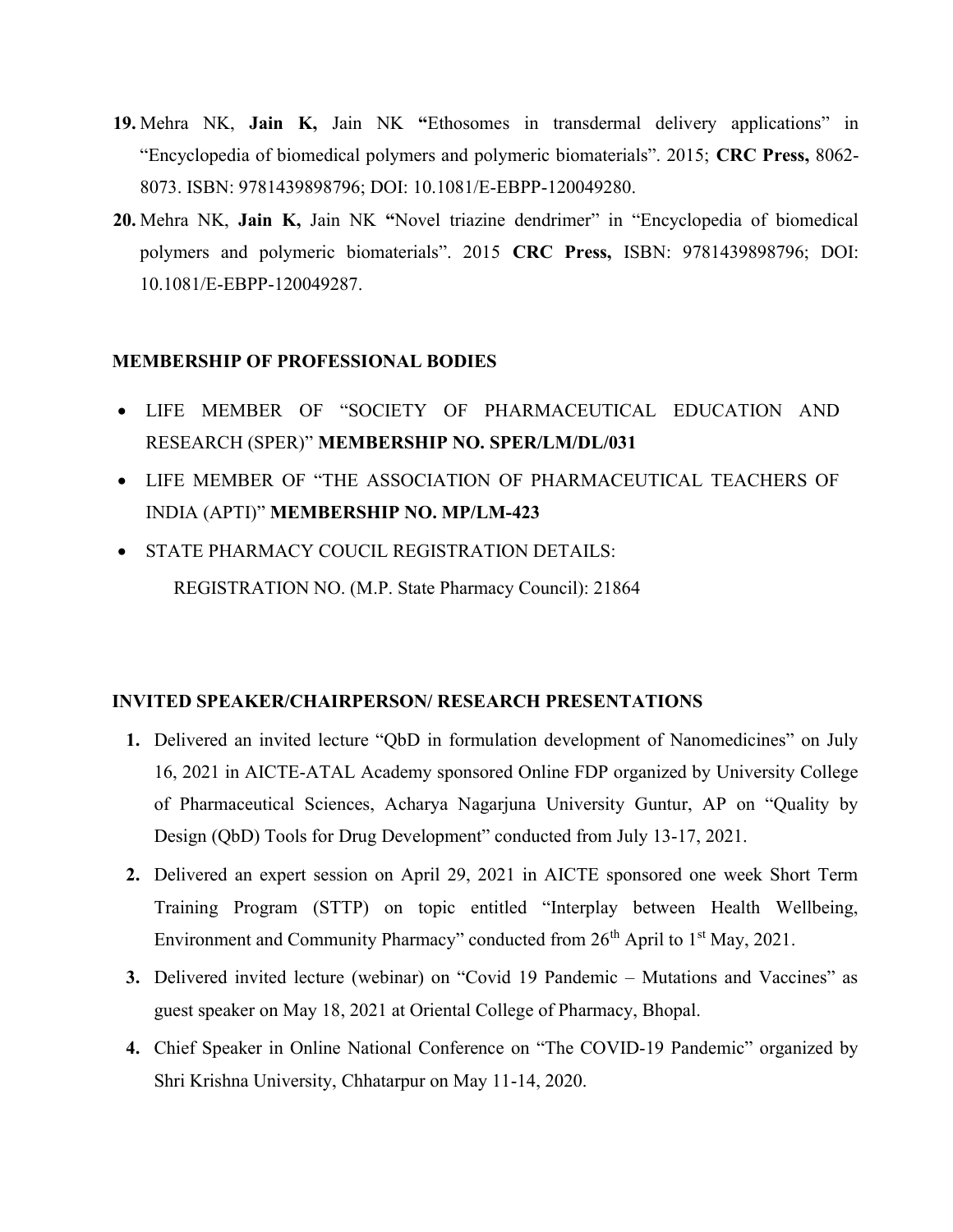- 19. Mehra NK, Jain K, Jain NK "Ethosomes in transdermal delivery applications" in "Encyclopedia of biomedical polymers and polymeric biomaterials". 2015; CRC Press, 8062- 8073. ISBN: 9781439898796; DOI: 10.1081/E-EBPP-120049280.
- 20. Mehra NK, Jain K, Jain NK "Novel triazine dendrimer" in "Encyclopedia of biomedical polymers and polymeric biomaterials". 2015 CRC Press, ISBN: 9781439898796; DOI: 10.1081/E-EBPP-120049287.

# MEMBERSHIP OF PROFESSIONAL BODIES

- LIFE MEMBER OF "SOCIETY OF PHARMACEUTICAL EDUCATION AND RESEARCH (SPER)" MEMBERSHIP NO. SPER/LM/DL/031
- LIFE MEMBER OF "THE ASSOCIATION OF PHARMACEUTICAL TEACHERS OF INDIA (APTI)" MEMBERSHIP NO. MP/LM-423
- STATE PHARMACY COUCIL REGISTRATION DETAILS: REGISTRATION NO. (M.P. State Pharmacy Council): 21864

# INVITED SPEAKER/CHAIRPERSON/ RESEARCH PRESENTATIONS

- 1. Delivered an invited lecture "QbD in formulation development of Nanomedicines" on July 16, 2021 in AICTE-ATAL Academy sponsored Online FDP organized by University College of Pharmaceutical Sciences, Acharya Nagarjuna University Guntur, AP on "Quality by Design (QbD) Tools for Drug Development" conducted from July 13-17, 2021.
- 2. Delivered an expert session on April 29, 2021 in AICTE sponsored one week Short Term Training Program (STTP) on topic entitled "Interplay between Health Wellbeing, Environment and Community Pharmacy" conducted from  $26<sup>th</sup>$  April to  $1<sup>st</sup>$  May, 2021.
- 3. Delivered invited lecture (webinar) on "Covid 19 Pandemic Mutations and Vaccines" as guest speaker on May 18, 2021 at Oriental College of Pharmacy, Bhopal.
- 4. Chief Speaker in Online National Conference on "The COVID-19 Pandemic" organized by Shri Krishna University, Chhatarpur on May 11-14, 2020.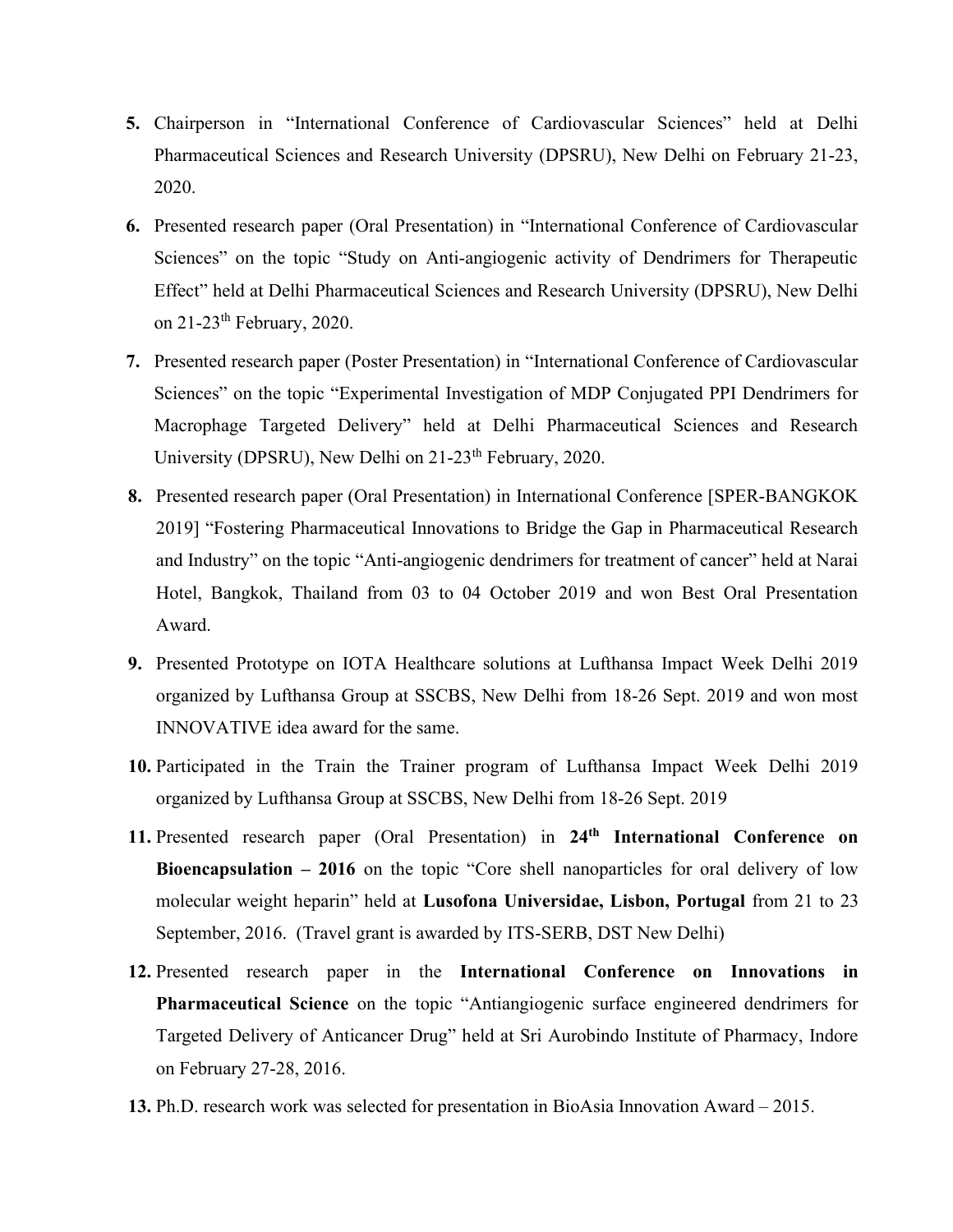- 5. Chairperson in "International Conference of Cardiovascular Sciences" held at Delhi Pharmaceutical Sciences and Research University (DPSRU), New Delhi on February 21-23, 2020.
- 6. Presented research paper (Oral Presentation) in "International Conference of Cardiovascular Sciences" on the topic "Study on Anti-angiogenic activity of Dendrimers for Therapeutic Effect" held at Delhi Pharmaceutical Sciences and Research University (DPSRU), New Delhi on  $21-23$ <sup>th</sup> February, 2020.
- 7. Presented research paper (Poster Presentation) in "International Conference of Cardiovascular Sciences" on the topic "Experimental Investigation of MDP Conjugated PPI Dendrimers for Macrophage Targeted Delivery" held at Delhi Pharmaceutical Sciences and Research University (DPSRU), New Delhi on 21-23<sup>th</sup> February, 2020.
- 8. Presented research paper (Oral Presentation) in International Conference [SPER-BANGKOK 2019] "Fostering Pharmaceutical Innovations to Bridge the Gap in Pharmaceutical Research and Industry" on the topic "Anti-angiogenic dendrimers for treatment of cancer" held at Narai Hotel, Bangkok, Thailand from 03 to 04 October 2019 and won Best Oral Presentation Award.
- 9. Presented Prototype on IOTA Healthcare solutions at Lufthansa Impact Week Delhi 2019 organized by Lufthansa Group at SSCBS, New Delhi from 18-26 Sept. 2019 and won most INNOVATIVE idea award for the same.
- 10. Participated in the Train the Trainer program of Lufthansa Impact Week Delhi 2019 organized by Lufthansa Group at SSCBS, New Delhi from 18-26 Sept. 2019
- 11. Presented research paper (Oral Presentation) in 24<sup>th</sup> International Conference on Bioencapsulation – 2016 on the topic "Core shell nanoparticles for oral delivery of low molecular weight heparin" held at Lusofona Universidae, Lisbon, Portugal from 21 to 23 September, 2016. (Travel grant is awarded by ITS-SERB, DST New Delhi)
- 12. Presented research paper in the International Conference on Innovations in Pharmaceutical Science on the topic "Antiangiogenic surface engineered dendrimers for Targeted Delivery of Anticancer Drug" held at Sri Aurobindo Institute of Pharmacy, Indore on February 27-28, 2016.
- 13. Ph.D. research work was selected for presentation in BioAsia Innovation Award 2015.